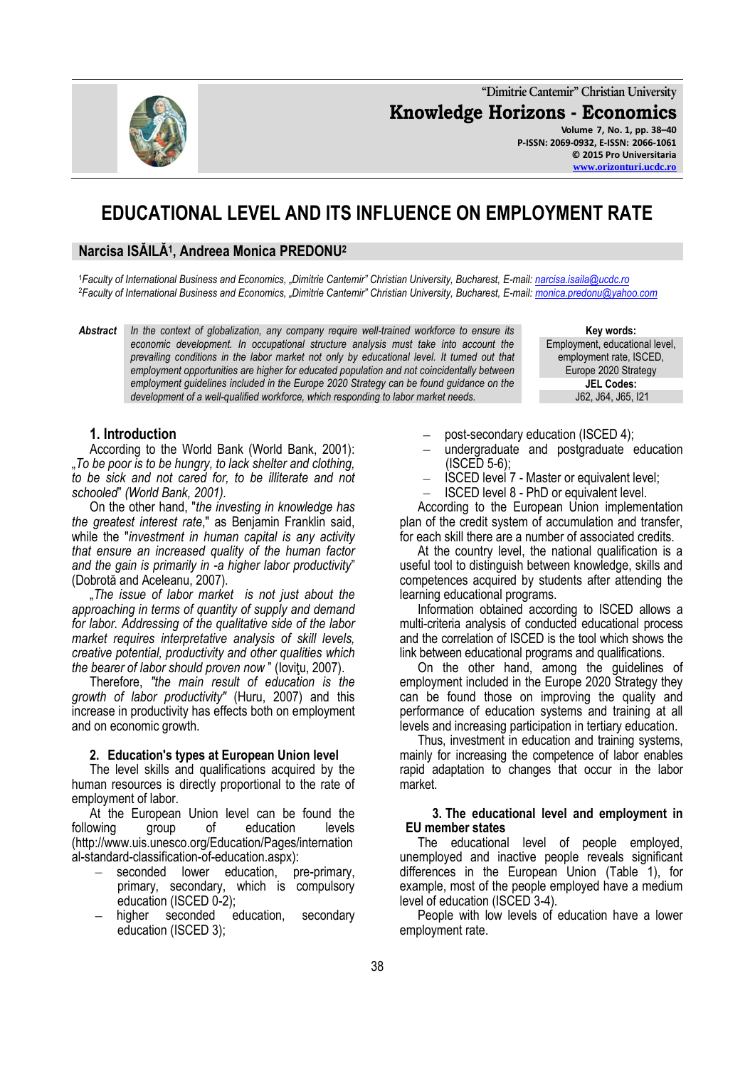**"Dimitrie Cantemir" Christian University Knowledge Horizons - Economics Volume 7, No. 1, pp. 38–40 P-ISSN: 2069-0932, E-ISSN: 2066-1061 © 2015 Pro Universitaria**

# **EDUCATIONAL LEVEL AND ITS INFLUENCE ON EMPLOYMENT RATE**

# **Narcisa ISĂILĂ<sup>1</sup> , Andreea Monica PREDONU<sup>2</sup>**

<sup>1</sup>*Faculty of International Business and Economics, "Dimitrie Cantemir" Christian University, Bucharest, E-mail: [narcisa.isaila@ucdc.ro](mailto:narcisa.isaila@ucdc.ro)* <sup>2</sup>*Faculty of International Business and Economics, "Dimitrie Cantemir" Christian University, Bucharest, E-mail: [monica.predonu@yahoo.com](mailto:monica.predonu@yahoo.com)*

*Abstract In the context of globalization, any company require well-trained workforce to ensure its economic development. In occupational structure analysis must take into account the prevailing conditions in the labor market not only by educational level. It turned out that employment opportunities are higher for educated population and not coincidentally between employment guidelines included in the Europe 2020 Strategy can be found guidance on the development of a well-qualified workforce, which responding to labor market needs.*

**Key words:** Employment, educational level, employment rate, ISCED, Europe 2020 Strategy **JEL Codes:** J62, J64, J65, I21

### **1. Introduction**

According to the World Bank (World Bank, 2001): "*To be poor is to be hungry, to lack shelter and clothing, to be sick and not cared for, to be illiterate and not schooled*" *(World Bank, 2001).*

On the other hand, "*the investing in knowledge has the greatest interest rate*," as Benjamin Franklin said, while the "*investment in human capital is any activity that ensure an increased quality of the human factor and the gain is primarily in -a higher labor productivity*" (Dobrotă and Aceleanu, 2007).

"*The issue of labor market is not just about the approaching in terms of quantity of supply and demand for labor. Addressing of the qualitative side of the labor market requires interpretative analysis of skill levels, creative potential, productivity and other qualities which the bearer of labor should proven now* " (Ioviţu, 2007).

Therefore, *"the main result of education is the growth of labor productivity"* (Huru, 2007) and this increase in productivity has effects both on employment and on economic growth.

#### **2. Education's types at European Union level**

The level skills and qualifications acquired by the human resources is directly proportional to the rate of employment of labor.

At the European Union level can be found the following group of education levels (http://www.uis.unesco.org/Education/Pages/internation al-standard-classification-of-education.aspx):

- seconded lower education, pre-primary, primary, secondary, which is compulsory education (ISCED 0-2);
- higher seconded education, secondary education (ISCED 3);
- post-secondary education (ISCED 4);
- undergraduate and postgraduate education (ISCED 5-6);
- ISCED level 7 Master or equivalent level;
- ISCED level 8 PhD or equivalent level.  $\equiv$

According to the European Union implementation plan of the credit system of accumulation and transfer, for each skill there are a number of associated credits.

At the country level, the national qualification is a useful tool to distinguish between knowledge, skills and competences acquired by students after attending the learning educational programs.

Information obtained according to ISCED allows a multi-criteria analysis of conducted educational process and the correlation of ISCED is the tool which shows the link between educational programs and qualifications.

On the other hand, among the guidelines of employment included in the Europe 2020 Strategy they can be found those on improving the quality and performance of education systems and training at all levels and increasing participation in tertiary education.

Thus, investment in education and training systems, mainly for increasing the competence of labor enables rapid adaptation to changes that occur in the labor market.

#### **3. The educational level and employment in EU member states**

The educational level of people employed, unemployed and inactive people reveals significant differences in the European Union (Table 1), for example, most of the people employed have a medium level of education (ISCED 3-4).

People with low levels of education have a lower employment rate.

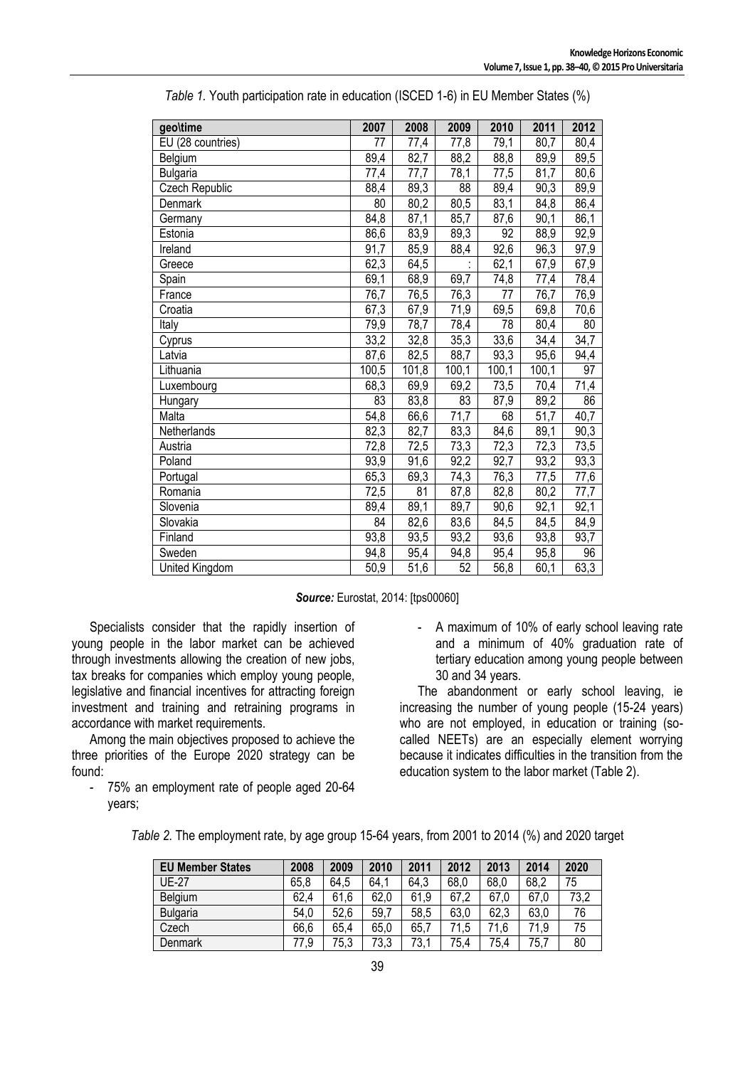| geo\time          | 2007            | 2008  | 2009            | 2010            | 2011              | 2012            |
|-------------------|-----------------|-------|-----------------|-----------------|-------------------|-----------------|
| EU (28 countries) | 77              | 77,4  | 77,8            | 79,1            | 80,7              | 80,4            |
| Belgium           | 89,4            | 82,7  | 88,2            | 88,8            | 89,9              | 89,5            |
| <b>Bulgaria</b>   | 77,4            | 77,7  | 78,1            | 77,5            | 81,7              | 80,6            |
| Czech Republic    | 88,4            | 89,3  | $\overline{88}$ | 89,4            | $\overline{90,3}$ | 89,9            |
| Denmark           | $\overline{80}$ | 80,2  | 80,5            | 83,1            | 84,8              | 86,4            |
| Germany           | 84,8            | 87,1  | 85,7            | 87,6            | 90,1              | 86,1            |
| Estonia           | 86,6            | 83,9  | 89,3            | 92              | 88,9              | 92,9            |
| Ireland           | 91,7            | 85,9  | 88,4            | 92,6            | 96,3              | 97,9            |
| Greece            | 62,3            | 64,5  |                 | 62,1            | 67,9              | 67,9            |
| Spain             | 69,1            | 68,9  | 69,7            | 74,8            | 77,4              | 78,4            |
| France            | 76,7            | 76,5  | 76,3            | $\overline{77}$ | 76,7              | 76,9            |
| Croatia           | 67,3            | 67,9  | 71,9            | 69,5            | 69,8              | 70,6            |
| Italy             | 79,9            | 78,7  | 78,4            | $\overline{78}$ | 80,4              | 80              |
| Cyprus            | 33,2            | 32,8  | 35,3            | 33,6            | 34,4              | 34,7            |
| Latvia            | 87,6            | 82,5  | 88,7            | 93,3            | 95,6              | 94,4            |
| Lithuania         | 100,5           | 101,8 | 100,1           | 100,1           | 100,1             | $\overline{97}$ |
| Luxembourg        | 68,3            | 69,9  | 69,2            | 73,5            | 70,4              | 71,4            |
| Hungary           | 83              | 83,8  | 83              | 87,9            | 89,2              | 86              |
| Malta             | 54,8            | 66,6  | 71,7            | 68              | 51,7              | 40,7            |
| Netherlands       | 82,3            | 82,7  | 83,3            | 84,6            | 89,1              | 90,3            |
| Austria           | 72,8            | 72,5  | 73,3            | 72,3            | 72,3              | 73,5            |
| Poland            | 93,9            | 91,6  | 92,2            | 92,7            | 93,2              | 93,3            |
| Portugal          | 65,3            | 69,3  | 74,3            | 76,3            | 77,5              | 77,6            |
| Romania           | 72,5            | 81    | 87,8            | 82,8            | 80,2              | 77,7            |
| Slovenia          | 89,4            | 89,1  | 89,7            | 90,6            | 92,1              | 92,1            |
| Slovakia          | 84              | 82,6  | 83,6            | 84,5            | 84,5              | 84,9            |
| Finland           | 93,8            | 93,5  | 93,2            | 93,6            | 93,8              | 93,7            |
| Sweden            | 94,8            | 95,4  | 94,8            | 95,4            | 95,8              | 96              |
| United Kingdom    | 50,9            | 51,6  | 52              | 56,8            | 60,1              | 63,3            |

|  | Table 1. Youth participation rate in education (ISCED 1-6) in EU Member States (%) |  |  |  |
|--|------------------------------------------------------------------------------------|--|--|--|
|--|------------------------------------------------------------------------------------|--|--|--|

# *Source:* Eurostat, 2014: [tps00060]

Specialists consider that the rapidly insertion of young people in the labor market can be achieved through investments allowing the creation of new jobs, tax breaks for companies which employ young people, legislative and financial incentives for attracting foreign investment and training and retraining programs in accordance with market requirements.

Among the main objectives proposed to achieve the three priorities of the Europe 2020 strategy can be found:

- 75% an employment rate of people aged 20-64 years;

- A maximum of 10% of early school leaving rate and a minimum of 40% graduation rate of tertiary education among young people between 30 and 34 years.

The abandonment or early school leaving, ie increasing the number of young people (15-24 years) who are not employed, in education or training (socalled NEETs) are an especially element worrying because it indicates difficulties in the transition from the education system to the labor market (Table 2).

| <b>EU Member States</b> | 2008 | 2009 | 2010 | 2011 | 2012 | 2013 | 2014 | 2020 |
|-------------------------|------|------|------|------|------|------|------|------|
| UE-27                   | 65,8 | 64,5 | 64,1 | 64,3 | 68,0 | 68,0 | 68,2 | 75   |
| Belgium                 | 62,4 | 61.6 | 62,0 | 61,9 | 67,2 | 67,0 | 67,0 | 73,2 |
| Bulgaria                | 54,0 | 52.6 | 59,7 | 58,5 | 63,0 | 62,3 | 63,0 | 76   |
| Czech                   | 66,6 | 65,4 | 65,0 | 65.7 | 71.5 | 71.6 | 71.9 | 75   |
| Denmark                 | 77.9 | 75,3 | 73,3 | 73.1 | 75.4 | 75,4 | 75,7 | 80   |

*Table 2.* The employment rate, by age group 15-64 years, from 2001 to 2014 (%) and 2020 target